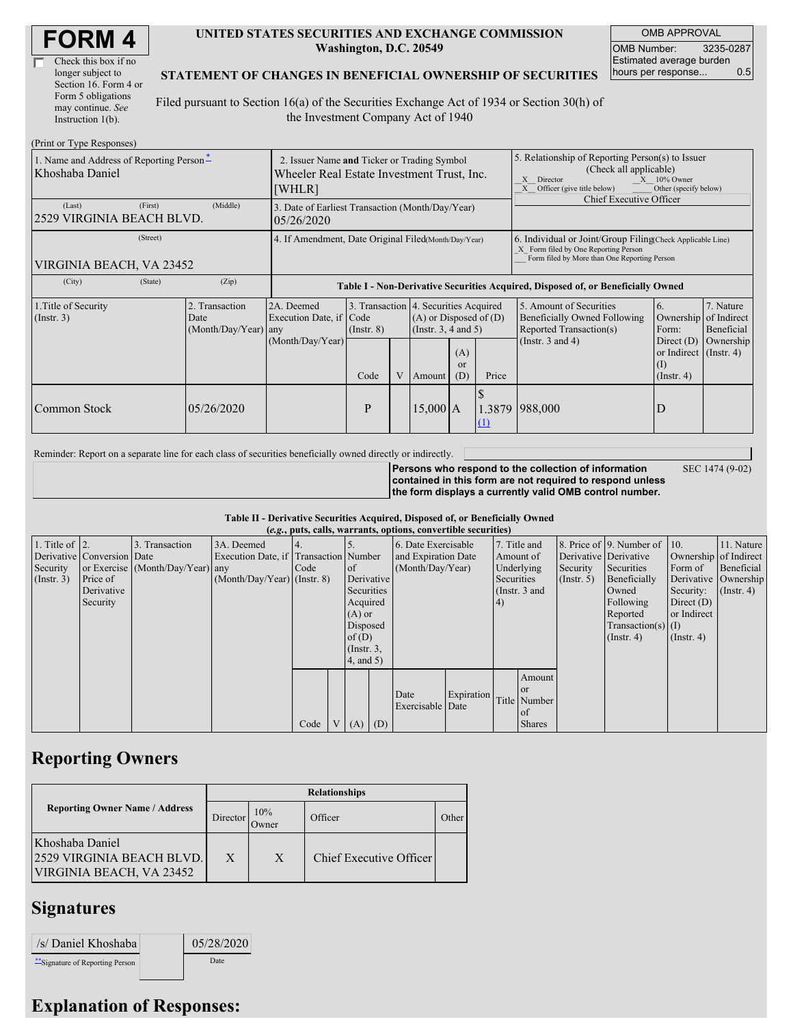| <b>FORM4</b> |
|--------------|
|--------------|

| Check this box if no  |
|-----------------------|
| longer subject to     |
| Section 16. Form 4 or |
| Form 5 obligations    |
| may continue. See     |
| Instruction $1(b)$ .  |

 $(Drint or Trma D)$ 

#### **UNITED STATES SECURITIES AND EXCHANGE COMMISSION Washington, D.C. 20549**

OMB APPROVAL OMB Number: 3235-0287 Estimated average burden hours per response... 0.5

#### **STATEMENT OF CHANGES IN BENEFICIAL OWNERSHIP OF SECURITIES**

Filed pursuant to Section 16(a) of the Securities Exchange Act of 1934 or Section 30(h) of the Investment Company Act of 1940

| 1. Name and Address of Reporting Person-<br>Khoshaba Daniel | 2. Issuer Name and Ticker or Trading Symbol<br>Wheeler Real Estate Investment Trust, Inc.<br>[WHLR] |                                                           |                         |                                                                                                                                    |  | 5. Relationship of Reporting Person(s) to Issuer<br>(Check all applicable)<br>$X = 10\%$ Owner<br>X Director<br>X Officer (give title below)<br>Other (specify below)<br>Chief Executive Officer |                                                                                                             |                                                                                                                     |                                      |
|-------------------------------------------------------------|-----------------------------------------------------------------------------------------------------|-----------------------------------------------------------|-------------------------|------------------------------------------------------------------------------------------------------------------------------------|--|--------------------------------------------------------------------------------------------------------------------------------------------------------------------------------------------------|-------------------------------------------------------------------------------------------------------------|---------------------------------------------------------------------------------------------------------------------|--------------------------------------|
| (First)<br>(Last)<br>2529 VIRGINIA BEACH BLVD.              | 3. Date of Earliest Transaction (Month/Day/Year)<br>05/26/2020                                      |                                                           |                         |                                                                                                                                    |  |                                                                                                                                                                                                  |                                                                                                             |                                                                                                                     |                                      |
| (Street)<br>VIRGINIA BEACH, VA 23452                        | 4. If Amendment, Date Original Filed (Month/Day/Year)                                               |                                                           |                         |                                                                                                                                    |  | 6. Individual or Joint/Group Filing Check Applicable Line)<br>X Form filed by One Reporting Person<br>Form filed by More than One Reporting Person                                               |                                                                                                             |                                                                                                                     |                                      |
| (City)<br>(State)                                           | (Zip)                                                                                               |                                                           |                         | Table I - Non-Derivative Securities Acquired, Disposed of, or Beneficially Owned                                                   |  |                                                                                                                                                                                                  |                                                                                                             |                                                                                                                     |                                      |
| 1. Title of Security<br>$($ Instr. 3 $)$                    | 2. Transaction<br>Date<br>$(Month/Day/Year)$ any                                                    | 2A. Deemed<br>Execution Date, if Code<br>(Month/Day/Year) | $($ Instr. $8)$<br>Code | 3. Transaction 4. Securities Acquired<br>$(A)$ or Disposed of $(D)$<br>(Insert. 3, 4 and 5)<br>(A)<br><b>or</b><br>V Amount<br>(D) |  | Price                                                                                                                                                                                            | 5. Amount of Securities<br>Beneficially Owned Following<br>Reported Transaction(s)<br>(Instr. $3$ and $4$ ) | <sup>6.</sup><br>Ownership of Indirect<br>Form:<br>Direct $(D)$<br>or Indirect $($ Instr. 4 $)$<br>$($ Instr. 4 $)$ | 7. Nature<br>Beneficial<br>Ownership |
| Common Stock                                                | 05/26/2020                                                                                          |                                                           | P                       | 15,000[A]                                                                                                                          |  | (1)                                                                                                                                                                                              | 1.3879 988,000                                                                                              |                                                                                                                     |                                      |

Reminder: Report on a separate line for each class of securities beneficially owned directly or indirectly.

**Persons who respond to the collection of information**

SEC 1474 (9-02)

**contained in this form are not required to respond unless the form displays a currently valid OMB control number.**

### **Table II - Derivative Securities Acquired, Disposed of, or Beneficially Owned**

|                        | (e.g., puts, calls, warrants, options, convertible securities) |                                  |                                       |      |  |                 |  |                     |            |               |               |                       |                              |                       |                      |
|------------------------|----------------------------------------------------------------|----------------------------------|---------------------------------------|------|--|-----------------|--|---------------------|------------|---------------|---------------|-----------------------|------------------------------|-----------------------|----------------------|
| 1. Title of $\vert$ 2. |                                                                | 3. Transaction                   | 3A. Deemed                            |      |  |                 |  | 6. Date Exercisable |            |               | 7. Title and  |                       | 8. Price of 9. Number of 10. |                       | 11. Nature           |
|                        | Derivative Conversion Date                                     |                                  | Execution Date, if Transaction Number |      |  |                 |  | and Expiration Date |            |               | Amount of     | Derivative Derivative |                              | Ownership of Indirect |                      |
| Security               |                                                                | or Exercise (Month/Day/Year) any |                                       | Code |  | <sub>of</sub>   |  | (Month/Day/Year)    |            | Underlying    |               | Security              | Securities                   | Form of               | Beneficial           |
| (Insert. 3)            | Price of                                                       |                                  | $(Month/Day/Year)$ (Instr. 8)         |      |  | Derivative      |  |                     |            | Securities    |               | (Insert, 5)           | Beneficially                 |                       | Derivative Ownership |
|                        | Derivative                                                     |                                  |                                       |      |  | Securities      |  |                     |            | (Instr. 3 and |               |                       | Owned                        | Security:             | $($ Instr. 4)        |
|                        | Security                                                       |                                  |                                       |      |  | Acquired        |  |                     |            | (4)           |               |                       | Following                    | Direct $(D)$          |                      |
|                        |                                                                |                                  |                                       |      |  | $(A)$ or        |  |                     |            |               |               |                       | Reported                     | or Indirect           |                      |
|                        |                                                                |                                  |                                       |      |  | Disposed        |  |                     |            |               |               |                       | $Transaction(s)$ (I)         |                       |                      |
|                        |                                                                |                                  |                                       |      |  | of $(D)$        |  |                     |            |               |               |                       | $($ Instr. 4 $)$             | $($ Instr. 4 $)$      |                      |
|                        |                                                                |                                  |                                       |      |  | $($ Instr. $3,$ |  |                     |            |               |               |                       |                              |                       |                      |
|                        |                                                                |                                  |                                       |      |  | (4, and 5)      |  |                     |            |               |               |                       |                              |                       |                      |
|                        |                                                                |                                  |                                       |      |  |                 |  |                     |            |               | Amount        |                       |                              |                       |                      |
|                        |                                                                |                                  |                                       |      |  |                 |  |                     |            |               | <sub>or</sub> |                       |                              |                       |                      |
|                        |                                                                |                                  |                                       |      |  |                 |  | Date                | Expiration |               | Title Number  |                       |                              |                       |                      |
|                        |                                                                |                                  |                                       |      |  |                 |  | Exercisable Date    |            |               | of            |                       |                              |                       |                      |
|                        |                                                                |                                  |                                       | Code |  | $V(A)$ (D)      |  |                     |            |               | <b>Shares</b> |                       |                              |                       |                      |

## **Reporting Owners**

|                                                                          | <b>Relationships</b>  |              |                         |       |  |  |  |  |
|--------------------------------------------------------------------------|-----------------------|--------------|-------------------------|-------|--|--|--|--|
| <b>Reporting Owner Name / Address</b>                                    | Director <sup>'</sup> | 10%<br>Owner | Officer                 | Other |  |  |  |  |
| Khoshaba Daniel<br>2529 VIRGINIA BEACH BLVD.<br>VIRGINIA BEACH, VA 23452 | X                     | X            | Chief Executive Officer |       |  |  |  |  |

## **Signatures**

| /s/ Daniel Khoshaba              | 05/28/2020 |
|----------------------------------|------------|
| ** Signature of Reporting Person | Date       |

# **Explanation of Responses:**